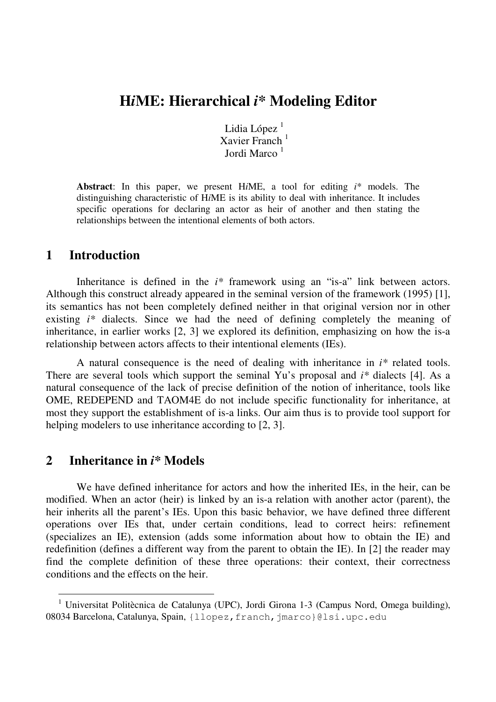# **H***i***ME: Hierarchical** *i\** **Modeling Editor**

Lidia López $<sup>1</sup>$ </sup> Xavier Franch<sup>1</sup> Jordi Marco <sup>1</sup>

**Abstract**: In this paper, we present H*i*ME, a tool for editing *i*\* models. The distinguishing characteristic of H*i*ME is its ability to deal with inheritance. It includes specific operations for declaring an actor as heir of another and then stating the relationships between the intentional elements of both actors.

### **1 Introduction**

Inheritance is defined in the *i\** framework using an "is-a" link between actors. Although this construct already appeared in the seminal version of the framework (1995) [1], its semantics has not been completely defined neither in that original version nor in other existing *i\** dialects. Since we had the need of defining completely the meaning of inheritance, in earlier works [2, 3] we explored its definition, emphasizing on how the is-a relationship between actors affects to their intentional elements (IEs).

A natural consequence is the need of dealing with inheritance in *i\** related tools. There are several tools which support the seminal Yu's proposal and *i\** dialects [4]. As a natural consequence of the lack of precise definition of the notion of inheritance, tools like OME, REDEPEND and TAOM4E do not include specific functionality for inheritance, at most they support the establishment of is-a links. Our aim thus is to provide tool support for helping modelers to use inheritance according to [2, 3].

#### **2 Inheritance in** *i\** **Models**

-

We have defined inheritance for actors and how the inherited IEs, in the heir, can be modified. When an actor (heir) is linked by an is-a relation with another actor (parent), the heir inherits all the parent's IEs. Upon this basic behavior, we have defined three different operations over IEs that, under certain conditions, lead to correct heirs: refinement (specializes an IE), extension (adds some information about how to obtain the IE) and redefinition (defines a different way from the parent to obtain the IE). In [2] the reader may find the complete definition of these three operations: their context, their correctness conditions and the effects on the heir.

<sup>&</sup>lt;sup>1</sup> Universitat Politècnica de Catalunya (UPC), Jordi Girona 1-3 (Campus Nord, Omega building), 08034 Barcelona, Catalunya, Spain, {llopez, franch, jmarco}@lsi.upc.edu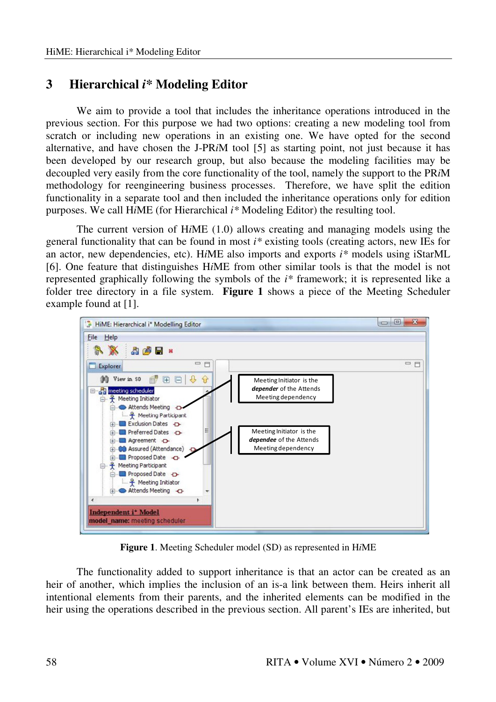## **3 Hierarchical** *i\** **Modeling Editor**

We aim to provide a tool that includes the inheritance operations introduced in the previous section. For this purpose we had two options: creating a new modeling tool from scratch or including new operations in an existing one. We have opted for the second alternative, and have chosen the J-PR*i*M tool [5] as starting point, not just because it has been developed by our research group, but also because the modeling facilities may be decoupled very easily from the core functionality of the tool, namely the support to the PR*i*M methodology for reengineering business processes. Therefore, we have split the edition functionality in a separate tool and then included the inheritance operations only for edition purposes. We call H*i*ME (for Hierarchical *i\** Modeling Editor) the resulting tool.

The current version of H*i*ME (1.0) allows creating and managing models using the general functionality that can be found in most *i\** existing tools (creating actors, new IEs for an actor, new dependencies, etc). H*i*ME also imports and exports *i\** models using iStarML [6]. One feature that distinguishes H*i*ME from other similar tools is that the model is not represented graphically following the symbols of the *i\** framework; it is represented like a folder tree directory in a file system. **Figure 1** shows a piece of the Meeting Scheduler example found at [1].



**Figure 1**. Meeting Scheduler model (SD) as represented in H*i*ME

The functionality added to support inheritance is that an actor can be created as an heir of another, which implies the inclusion of an is-a link between them. Heirs inherit all intentional elements from their parents, and the inherited elements can be modified in the heir using the operations described in the previous section. All parent's IEs are inherited, but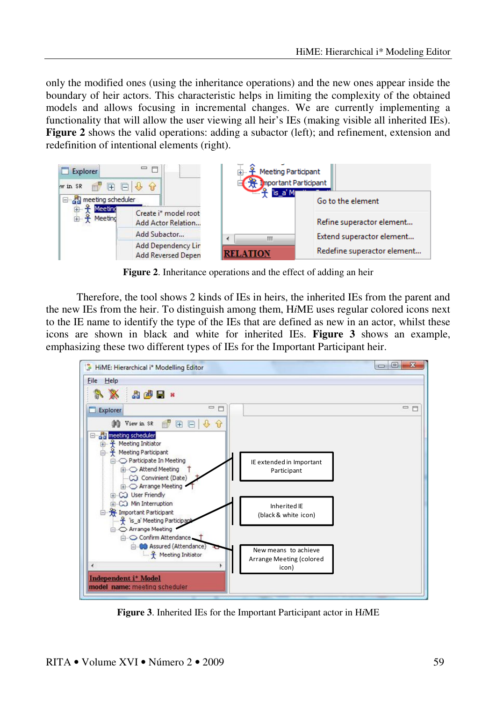only the modified ones (using the inheritance operations) and the new ones appear inside the boundary of heir actors. This characteristic helps in limiting the complexity of the obtained models and allows focusing in incremental changes. We are currently implementing a functionality that will allow the user viewing all heir's IEs (making visible all inherited IEs). **Figure 2** shows the valid operations: adding a subactor (left); and refinement, extension and redefinition of intentional elements (right).



**Figure 2**. Inheritance operations and the effect of adding an heir

Therefore, the tool shows 2 kinds of IEs in heirs, the inherited IEs from the parent and the new IEs from the heir. To distinguish among them, H*i*ME uses regular colored icons next to the IE name to identify the type of the IEs that are defined as new in an actor, whilst these icons are shown in black and white for inherited IEs. **Figure 3** shows an example, emphasizing these two different types of IEs for the Important Participant heir.



**Figure 3**. Inherited IEs for the Important Participant actor in H*i*ME